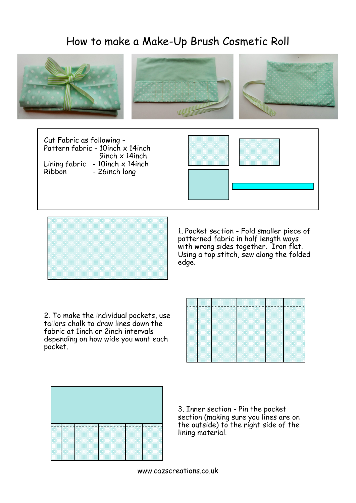## How to make a Make-Up Brush Cosmetic Roll



Pattern fabric - 10inch x 14inch 9inch x 14inch Lining  $fabric - 10$ inch  $x$  14inch Ribbon - 26inch long





1. Pocket section - Fold smaller piece of patterned fabric in half length ways with wrong sides together. Iron flat. Using a top stitch, sew along the folded edge.

2. To make the individual pockets, use tailors chalk to draw lines down the fabric at 1inch or 2inch intervals depending on how wide you want each pocket.





3. Inner section - Pin the pocket section (making sure you lines are on the outside) to the right side of the lining material.

www.cazscreations.co.uk